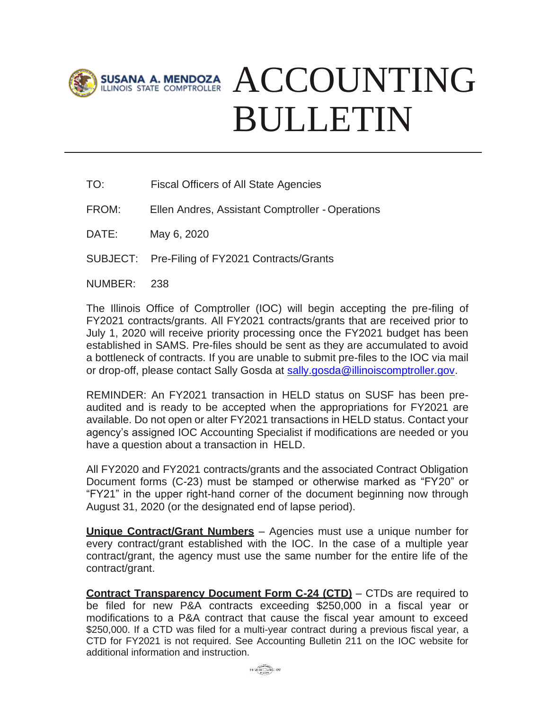

## ACCOUNTING BULLETIN

- TO: Fiscal Officers of All State Agencies
- FROM: Ellen Andres, Assistant Comptroller Operations
- DATE: May 6, 2020
- SUBJECT: Pre-Filing of FY2021 Contracts/Grants
- NUMBER: 238

The Illinois Office of Comptroller (IOC) will begin accepting the pre-filing of FY2021 contracts/grants. All FY2021 contracts/grants that are received prior to July 1, 2020 will receive priority processing once the FY2021 budget has been established in SAMS. Pre-files should be sent as they are accumulated to avoid a bottleneck of contracts. If you are unable to submit pre-files to the IOC via mail or drop-off, please contact Sally Gosda at [sally.gosda@illinoiscomptroller.gov.](mailto:sally.gosda@illinoiscomptroller.gov)

REMINDER: An FY2021 transaction in HELD status on SUSF has been preaudited and is ready to be accepted when the appropriations for FY2021 are available. Do not open or alter FY2021 transactions in HELD status. Contact your agency's assigned IOC Accounting Specialist if modifications are needed or you have a question about a transaction in HELD.

All FY2020 and FY2021 contracts/grants and the associated Contract Obligation Document forms (C-23) must be stamped or otherwise marked as "FY20" or "FY21" in the upper right-hand corner of the document beginning now through August 31, 2020 (or the designated end of lapse period).

**Unique Contract/Grant Numbers** – Agencies must use a unique number for every contract/grant established with the IOC. In the case of a multiple year contract/grant, the agency must use the same number for the entire life of the contract/grant.

**Contract Transparency Document Form C-24 (CTD)** – CTDs are required to be filed for new P&A contracts exceeding \$250,000 in a fiscal year or modifications to a P&A contract that cause the fiscal year amount to exceed \$250,000. If a CTD was filed for a multi-year contract during a previous fiscal year, a CTD for FY2021 is not required. See Accounting Bulletin 211 on the IOC website for additional information and instruction.